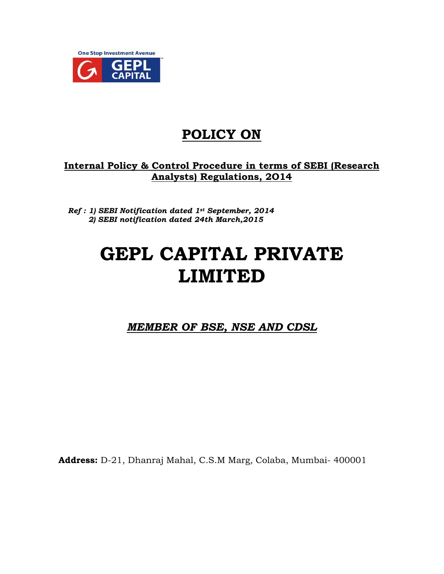

# **POLICY ON**

# **Internal Policy & Control Procedure in terms of SEBI (Research Analysts) Regulations, 2O14**

*Ref : 1) SEBI Notification dated 1st September, 2014 2) SEBI notification dated 24th March,2015*

# **GEPL CAPITAL PRIVATE LIMITED**

*MEMBER OF BSE, NSE AND CDSL* 

**Address:** D-21, Dhanraj Mahal, C.S.M Marg, Colaba, Mumbai- 400001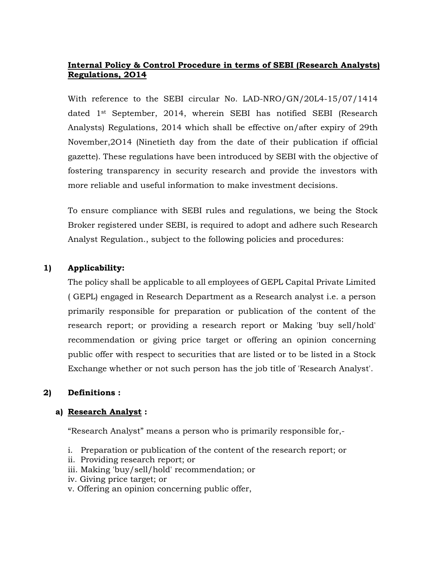# **Internal Policy & Control Procedure in terms of SEBI (Research Analysts) Regulations, 2O14**

With reference to the SEBI circular No. LAD-NRO/GN/20L4-15/07/1414 dated 1st September, 2014, wherein SEBI has notified SEBI (Research Analysts) Regulations, 2014 which shall be effective on/after expiry of 29th November,2O14 (Ninetieth day from the date of their publication if official gazette). These regulations have been introduced by SEBI with the objective of fostering transparency in security research and provide the investors with more reliable and useful information to make investment decisions.

To ensure compliance with SEBI rules and regulations, we being the Stock Broker registered under SEBI, is required to adopt and adhere such Research Analyst Regulation., subject to the following policies and procedures:

## **1) Applicability:**

The policy shall be applicable to all employees of GEPL Capital Private Limited ( GEPL) engaged in Research Department as a Research analyst i.e. a person primarily responsible for preparation or publication of the content of the research report; or providing a research report or Making 'buy sell/hold' recommendation or giving price target or offering an opinion concerning public offer with respect to securities that are listed or to be listed in a Stock Exchange whether or not such person has the job title of 'Research Analyst'.

#### **2) Definitions :**

#### **a) Research Analyst :**

"Research Analyst" means a person who is primarily responsible for,-

- i. Preparation or publication of the content of the research report; or
- ii. Providing research report; or
- iii. Making 'buy/sell/hold' recommendation; or
- iv. Giving price target; or
- v. Offering an opinion concerning public offer,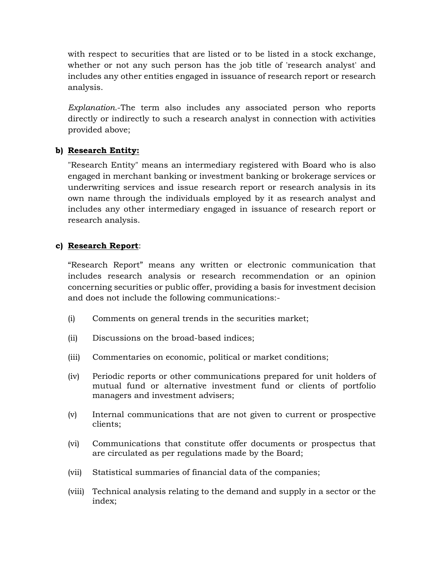with respect to securities that are listed or to be listed in a stock exchange, whether or not any such person has the job title of 'research analyst' and includes any other entities engaged in issuance of research report or research analysis.

*Explanation.*-The term also includes any associated person who reports directly or indirectly to such a research analyst in connection with activities provided above;

#### **b) Research Entity:**

"Research Entity" means an intermediary registered with Board who is also engaged in merchant banking or investment banking or brokerage services or underwriting services and issue research report or research analysis in its own name through the individuals employed by it as research analyst and includes any other intermediary engaged in issuance of research report or research analysis.

#### **c) Research Report**:

"Research Report" means any written or electronic communication that includes research analysis or research recommendation or an opinion concerning securities or public offer, providing a basis for investment decision and does not include the following communications:-

- (i) Comments on general trends in the securities market;
- (ii) Discussions on the broad-based indices;
- (iii) Commentaries on economic, political or market conditions;
- (iv) Periodic reports or other communications prepared for unit holders of mutual fund or alternative investment fund or clients of portfolio managers and investment advisers;
- (v) Internal communications that are not given to current or prospective clients;
- (vi) Communications that constitute offer documents or prospectus that are circulated as per regulations made by the Board;
- (vii) Statistical summaries of financial data of the companies;
- (viii) Technical analysis relating to the demand and supply in a sector or the index;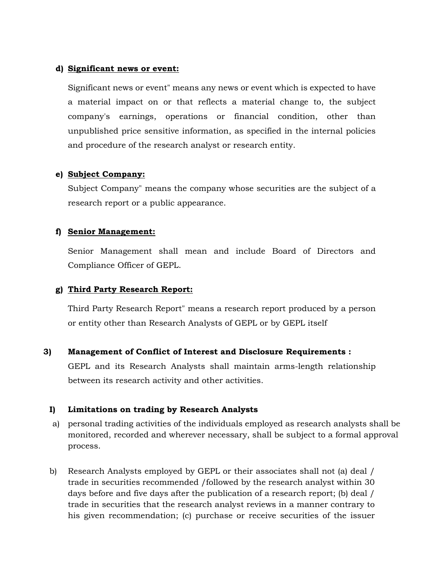#### **d) Significant news or event:**

Significant news or event" means any news or event which is expected to have a material impact on or that reflects a material change to, the subject company's earnings, operations or financial condition, other than unpublished price sensitive information, as specified in the internal policies and procedure of the research analyst or research entity.

#### **e) Subject Company:**

Subject Company" means the company whose securities are the subject of a research report or a public appearance.

#### **f) Senior Management:**

Senior Management shall mean and include Board of Directors and Compliance Officer of GEPL.

#### **g) Third Party Research Report:**

Third Party Research Report" means a research report produced by a person or entity other than Research Analysts of GEPL or by GEPL itself

#### **3) Management of Conflict of Interest and Disclosure Requirements :**

GEPL and its Research Analysts shall maintain arms-length relationship between its research activity and other activities.

#### **I) Limitations on trading by Research Analysts**

- a) personal trading activities of the individuals employed as research analysts shall be monitored, recorded and wherever necessary, shall be subject to a formal approval process.
- b) Research Analysts employed by GEPL or their associates shall not (a) deal / trade in securities recommended /followed by the research analyst within 30 days before and five days after the publication of a research report; (b) deal / trade in securities that the research analyst reviews in a manner contrary to his given recommendation; (c) purchase or receive securities of the issuer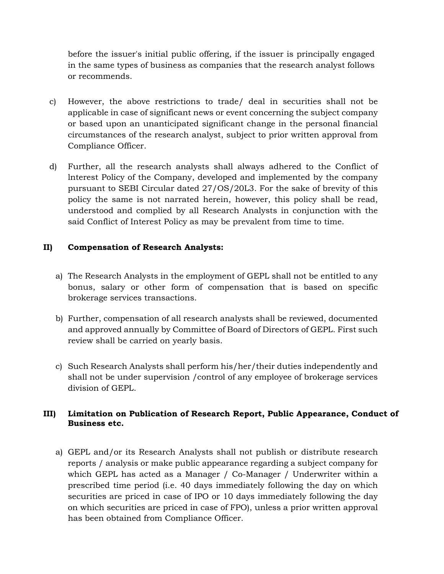before the issuer's initial public offering, if the issuer is principally engaged in the same types of business as companies that the research analyst follows or recommends.

- c) However, the above restrictions to trade/ deal in securities shall not be applicable in case of significant news or event concerning the subject company or based upon an unanticipated significant change in the personal financial circumstances of the research analyst, subject to prior written approval from Compliance Officer.
- d) Further, all the research analysts shall always adhered to the Conflict of lnterest Policy of the Company, developed and implemented by the company pursuant to SEBI Circular dated 27/OS/20L3. For the sake of brevity of this policy the same is not narrated herein, however, this policy shall be read, understood and complied by all Research Analysts in conjunction with the said Conflict of Interest Policy as may be prevalent from time to time.

# **II) Compensation of Research Analysts:**

- a) The Research Analysts in the employment of GEPL shall not be entitled to any bonus, salary or other form of compensation that is based on specific brokerage services transactions.
- b) Further, compensation of all research analysts shall be reviewed, documented and approved annually by Committee of Board of Directors of GEPL. First such review shall be carried on yearly basis.
- c) Such Research Analysts shall perform his/her/their duties independently and shall not be under supervision /control of any employee of brokerage services division of GEPL.

# **III) Limitation on Publication of Research Report, Public Appearance, Conduct of Business etc.**

a) GEPL and/or its Research Analysts shall not publish or distribute research reports / analysis or make public appearance regarding a subject company for which GEPL has acted as a Manager / Co-Manager / Underwriter within a prescribed time period (i.e. 40 days immediately following the day on which securities are priced in case of IPO or 10 days immediately following the day on which securities are priced in case of FPO), unless a prior written approval has been obtained from Compliance Officer.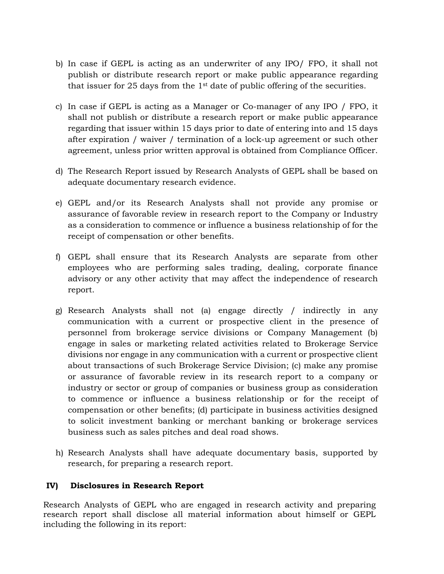- b) In case if GEPL is acting as an underwriter of any IPO/ FPO, it shall not publish or distribute research report or make public appearance regarding that issuer for 25 days from the  $1<sup>st</sup>$  date of public offering of the securities.
- c) In case if GEPL is acting as a Manager or Co-manager of any IPO / FPO, it shall not publish or distribute a research report or make public appearance regarding that issuer within 15 days prior to date of entering into and 15 days after expiration / waiver / termination of a lock-up agreement or such other agreement, unless prior written approval is obtained from Compliance Officer.
- d) The Research Report issued by Research Analysts of GEPL shall be based on adequate documentary research evidence.
- e) GEPL and/or its Research Analysts shall not provide any promise or assurance of favorable review in research report to the Company or Industry as a consideration to commence or influence a business relationship of for the receipt of compensation or other benefits.
- f) GEPL shall ensure that its Research Analysts are separate from other employees who are performing sales trading, dealing, corporate finance advisory or any other activity that may affect the independence of research report.
- g) Research Analysts shall not (a) engage directly / indirectly in any communication with a current or prospective client in the presence of personnel from brokerage service divisions or Company Management (b) engage in sales or marketing related activities related to Brokerage Service divisions nor engage in any communication with a current or prospective client about transactions of such Brokerage Service Division; (c) make any promise or assurance of favorable review in its research report to a company or industry or sector or group of companies or business group as consideration to commence or influence a business relationship or for the receipt of compensation or other benefits; (d) participate in business activities designed to solicit investment banking or merchant banking or brokerage services business such as sales pitches and deal road shows.
- h) Research Analysts shall have adequate documentary basis, supported by research, for preparing a research report.

#### **IV) Disclosures in Research Report**

Research Analysts of GEPL who are engaged in research activity and preparing research report shall disclose all material information about himself or GEPL including the following in its report: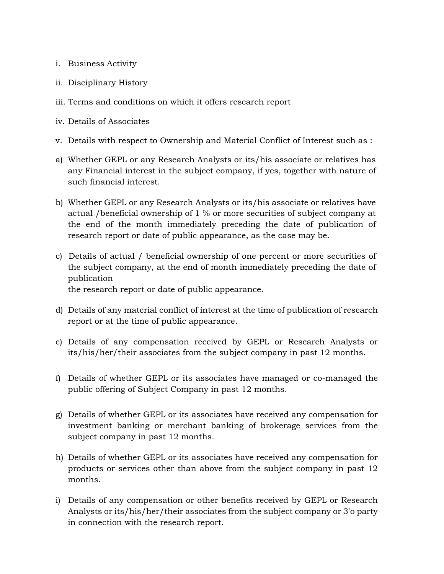- i. Business Activity
- ii. Disciplinary History
- iii. Terms and conditions on which it offers research report
- iv. Details of Associates
- v. Details with respect to Ownership and Material Conflict of Interest such as :
- a) Whether GEPL or any Research Analysts or its/his associate or relatives has any Financial interest in the subject company, if yes, together with nature of such financial interest.
- b) Whether GEPL or any Research Analysts or its/his associate or relatives have actual /beneficial ownership of 1 % or more securities of subject company at the end of the month immediately preceding the date of publication of research report or date of public appearance, as the case may be.
- c) Details of actual / beneficial ownership of one percent or more securities of the subject company, at the end of month immediately preceding the date of publication

the research report or date of public appearance.

- d) Details of any material conflict of interest at the time of publication of research report or at the time of public appearance.
- e) Details of any compensation received by GEPL or Research Analysts or its/his/her/their associates from the subject company in past 12 months.
- f) Details of whether GEPL or its associates have managed or co-managed the public offering of Subject Company in past 12 months.
- g) Details of whether GEPL or its associates have received any compensation for investment banking or merchant banking of brokerage services from the subject company in past 12 months.
- h) Details of whether GEPL or its associates have received any compensation for products or services other than above from the subject company in past 12 months.
- i) Details of any compensation or other benefits received by GEPL or Research Analysts or its/his/her/their associates from the subject company or 3'o party in connection with the research report.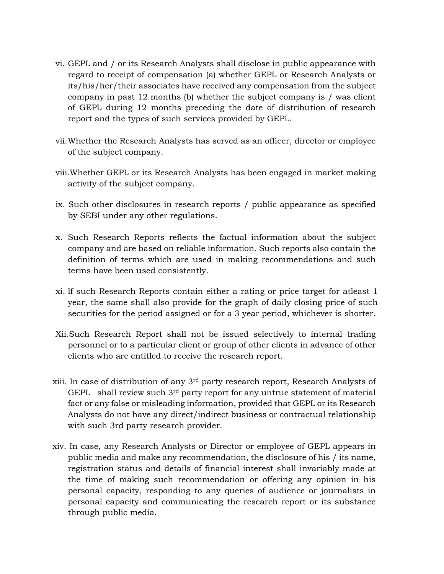- vi. GEPL and / or its Research Analysts shall disclose in public appearance with regard to receipt of compensation (a) whether GEPL or Research Analysts or its/his/her/their associates have received any compensation from the subject company in past 12 months (b) whether the subject company is / was client of GEPL during 12 months preceding the date of distribution of research report and the types of such services provided by GEPL.
- vii. Whether the Research Analysts has served as an officer, director or employee of the subject company.
- viii.Whether GEPL or its Research Analysts has been engaged in market making activity of the subject company.
- ix. Such other disclosures in research reports / public appearance as specified by SEBI under any other regulations.
- x. Such Research Reports reflects the factual information about the subject company and are based on reliable information. Such reports also contain the definition of terms which are used in making recommendations and such terms have been used consistently.
- xi. lf such Research Reports contain either a rating or price target for atleast 1 year, the same shall also provide for the graph of daily closing price of such securities for the period assigned or for a 3 year period, whichever is shorter.
- Xii.Such Research Report shall not be issued selectively to internal trading personnel or to a particular client or group of other clients in advance of other clients who are entitled to receive the research report.
- xiii. In case of distribution of any 3rd party research report, Research Analysts of GEPL shall review such 3<sup>rd</sup> party report for any untrue statement of material fact or any false or misleading information, provided that GEPL or its Research Analysts do not have any direct/indirect business or contractual relationship with such 3rd party research provider.
- xiv. In case, any Research Analysts or Director or employee of GEPL appears in public media and make any recommendation, the disclosure of his / its name, registration status and details of financial interest shall invariably made at the time of making such recommendation or offering any opinion in his personal capacity, responding to any queries of audience or journalists in personal capacity and communicating the research report or its substance through public media.